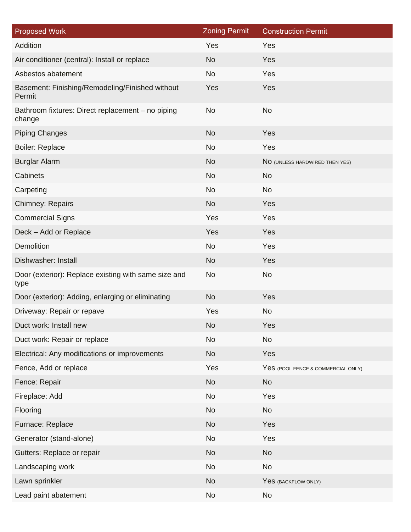| <b>Proposed Work</b>                                         | <b>Zoning Permit</b> | <b>Construction Permit</b>         |
|--------------------------------------------------------------|----------------------|------------------------------------|
| Addition                                                     | Yes                  | Yes                                |
| Air conditioner (central): Install or replace                | <b>No</b>            | Yes                                |
| Asbestos abatement                                           | <b>No</b>            | Yes                                |
| Basement: Finishing/Remodeling/Finished without<br>Permit    | Yes                  | Yes                                |
| Bathroom fixtures: Direct replacement - no piping<br>change  | <b>No</b>            | No                                 |
| <b>Piping Changes</b>                                        | <b>No</b>            | Yes                                |
| <b>Boiler: Replace</b>                                       | <b>No</b>            | Yes                                |
| <b>Burglar Alarm</b>                                         | <b>No</b>            | NO (UNLESS HARDWIRED THEN YES)     |
| Cabinets                                                     | <b>No</b>            | <b>No</b>                          |
| Carpeting                                                    | <b>No</b>            | No                                 |
| <b>Chimney: Repairs</b>                                      | <b>No</b>            | Yes                                |
| <b>Commercial Signs</b>                                      | Yes                  | Yes                                |
| Deck - Add or Replace                                        | Yes                  | Yes                                |
| <b>Demolition</b>                                            | <b>No</b>            | Yes                                |
| Dishwasher: Install                                          | <b>No</b>            | Yes                                |
| Door (exterior): Replace existing with same size and<br>type | <b>No</b>            | <b>No</b>                          |
| Door (exterior): Adding, enlarging or eliminating            | <b>No</b>            | Yes                                |
| Driveway: Repair or repave                                   | Yes                  | <b>No</b>                          |
| Duct work: Install new                                       | <b>No</b>            | Yes                                |
| Duct work: Repair or replace                                 | <b>No</b>            | <b>No</b>                          |
| Electrical: Any modifications or improvements                | <b>No</b>            | Yes                                |
| Fence, Add or replace                                        | Yes                  | Yes (POOL FENCE & COMMERCIAL ONLY) |
| Fence: Repair                                                | <b>No</b>            | No                                 |
| Fireplace: Add                                               | <b>No</b>            | Yes                                |
| Flooring                                                     | <b>No</b>            | No                                 |
| Furnace: Replace                                             | <b>No</b>            | Yes                                |
| Generator (stand-alone)                                      | No                   | Yes                                |
| Gutters: Replace or repair                                   | <b>No</b>            | <b>No</b>                          |
| Landscaping work                                             | <b>No</b>            | <b>No</b>                          |
| Lawn sprinkler                                               | <b>No</b>            | Yes (BACKFLOW ONLY)                |
| Lead paint abatement                                         | <b>No</b>            | No                                 |